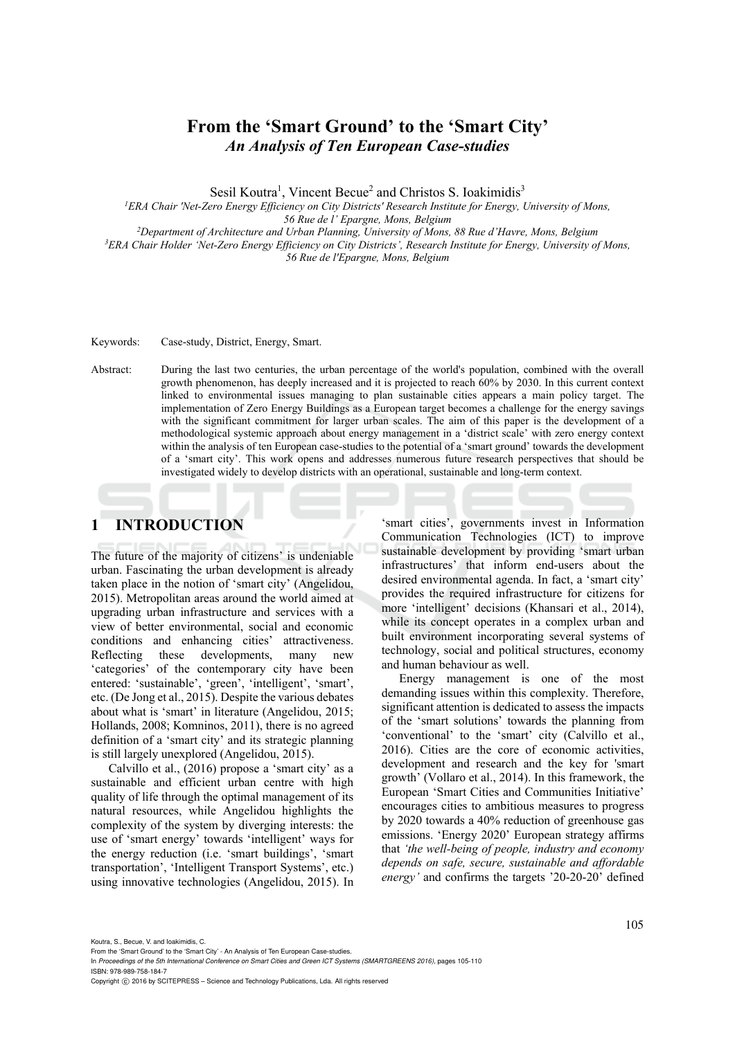# **From the 'Smart Ground' to the 'Smart City'**  *An Analysis of Ten European Case-studies*

Sesil Koutra<sup>1</sup>, Vincent Becue<sup>2</sup> and Christos S. Ioakimidis<sup>3</sup>

*1ERA Chair 'Net-Zero Energy Efficiency on City Districts' Research Institute for Energy, University of Mons,* 

*56 Rue de l' Epargne, Mons, Belgium 2Department of Architecture and Urban Planning, University of Mons, 88 Rue d'Havre, Mons, Belgium 3*

<sup>3</sup> ERA Chair Holder 'Net-Zero Energy Efficiency on City Districts', Research Institute for Energy, University of Mons, *56 Rue de l'Epargne, Mons, Belgium* 

Keywords: Case-study, District, Energy, Smart.

Abstract: During the last two centuries, the urban percentage of the world's population, combined with the overall growth phenomenon, has deeply increased and it is projected to reach 60% by 2030. In this current context linked to environmental issues managing to plan sustainable cities appears a main policy target. The implementation of Zero Energy Buildings as a European target becomes a challenge for the energy savings with the significant commitment for larger urban scales. The aim of this paper is the development of a methodological systemic approach about energy management in a 'district scale' with zero energy context within the analysis of ten European case-studies to the potential of a 'smart ground' towards the development of a 'smart city'. This work opens and addresses numerous future research perspectives that should be investigated widely to develop districts with an operational, sustainable and long-term context.

# **1 INTRODUCTION**

The future of the majority of citizens' is undeniable urban. Fascinating the urban development is already taken place in the notion of 'smart city' (Angelidou, 2015). Metropolitan areas around the world aimed at upgrading urban infrastructure and services with a view of better environmental, social and economic conditions and enhancing cities' attractiveness. Reflecting these developments, many new 'categories' of the contemporary city have been entered: 'sustainable', 'green', 'intelligent', 'smart', etc. (De Jong et al., 2015). Despite the various debates about what is 'smart' in literature (Angelidou, 2015; Hollands, 2008; Komninos, 2011), there is no agreed definition of a 'smart city' and its strategic planning is still largely unexplored (Angelidou, 2015).

Calvillo et al., (2016) propose a 'smart city' as a sustainable and efficient urban centre with high quality of life through the optimal management of its natural resources, while Angelidou highlights the complexity of the system by diverging interests: the use of 'smart energy' towards 'intelligent' ways for the energy reduction (i.e. 'smart buildings', 'smart transportation', 'Intelligent Transport Systems', etc.) using innovative technologies (Angelidou, 2015). In

'smart cities', governments invest in Information Communication Technologies (ICT) to improve sustainable development by providing 'smart urban infrastructures' that inform end-users about the desired environmental agenda. In fact, a 'smart city' provides the required infrastructure for citizens for more 'intelligent' decisions (Khansari et al., 2014), while its concept operates in a complex urban and built environment incorporating several systems of technology, social and political structures, economy and human behaviour as well.

Energy management is one of the most demanding issues within this complexity. Therefore, significant attention is dedicated to assess the impacts of the 'smart solutions' towards the planning from 'conventional' to the 'smart' city (Calvillo et al., 2016). Cities are the core of economic activities, development and research and the key for 'smart growth' (Vollaro et al., 2014). In this framework, the European 'Smart Cities and Communities Initiative' encourages cities to ambitious measures to progress by 2020 towards a 40% reduction of greenhouse gas emissions. 'Energy 2020' European strategy affirms that *'the well-being of people, industry and economy depends on safe, secure, sustainable and affordable energy'* and confirms the targets '20-20-20' defined

Koutra, S., Becue, V. and Ioakimidis, C.

Copyright C 2016 by SCITEPRESS - Science and Technology Publications, Lda. All rights reserved

From the 'Smart Ground' to the 'Smart City' - An Analysis of Ten European Case-studies.

In *Proceedings of the 5th International Conference on Smart Cities and Green ICT Systems (SMARTGREENS 2016)*, pages 105-110 ISBN: 978-989-758-184-7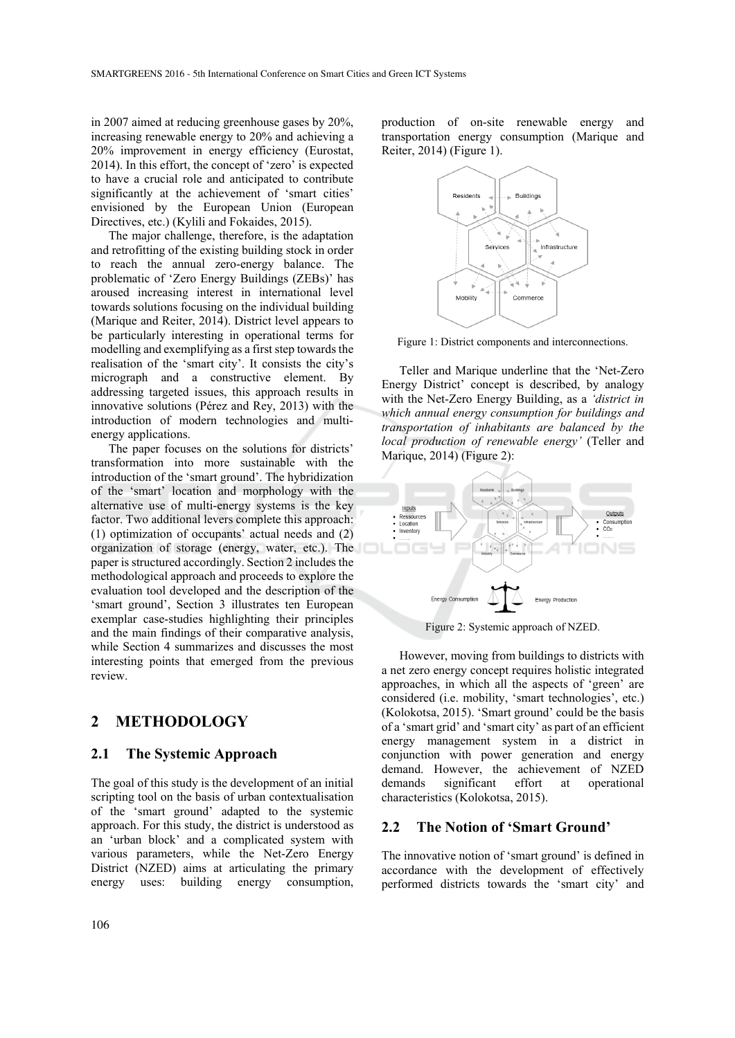in 2007 aimed at reducing greenhouse gases by 20%, increasing renewable energy to 20% and achieving a 20% improvement in energy efficiency (Eurostat, 2014). In this effort, the concept of 'zero' is expected to have a crucial role and anticipated to contribute significantly at the achievement of 'smart cities' envisioned by the European Union (European Directives, etc.) (Kylili and Fokaides, 2015).

The major challenge, therefore, is the adaptation and retrofitting of the existing building stock in order to reach the annual zero-energy balance. The problematic of 'Zero Energy Buildings (ZEBs)' has aroused increasing interest in international level towards solutions focusing on the individual building (Marique and Reiter, 2014). District level appears to be particularly interesting in operational terms for modelling and exemplifying as a first step towards the realisation of the 'smart city'. It consists the city's micrograph and a constructive element. By addressing targeted issues, this approach results in innovative solutions (Pérez and Rey, 2013) with the introduction of modern technologies and multienergy applications.

The paper focuses on the solutions for districts' transformation into more sustainable with the introduction of the 'smart ground'. The hybridization of the 'smart' location and morphology with the alternative use of multi-energy systems is the key factor. Two additional levers complete this approach: (1) optimization of occupants' actual needs and (2) organization of storage (energy, water, etc.). The paper is structured accordingly. Section 2 includes the methodological approach and proceeds to explore the evaluation tool developed and the description of the 'smart ground', Section 3 illustrates ten European exemplar case-studies highlighting their principles and the main findings of their comparative analysis, while Section 4 summarizes and discusses the most interesting points that emerged from the previous review.

# **2 METHODOLOGY**

#### **2.1 The Systemic Approach**

The goal of this study is the development of an initial scripting tool on the basis of urban contextualisation of the 'smart ground' adapted to the systemic approach. For this study, the district is understood as an 'urban block' and a complicated system with various parameters, while the Net-Zero Energy District (NZED) aims at articulating the primary energy uses: building energy consumption,

production of on-site renewable energy and transportation energy consumption (Marique and Reiter, 2014) (Figure 1).



Figure 1: District components and interconnections.

Teller and Marique underline that the 'Net-Zero Energy District' concept is described, by analogy with the Net-Zero Energy Building, as a *'district in which annual energy consumption for buildings and transportation of inhabitants are balanced by the local production of renewable energy'* (Teller and Marique, 2014) (Figure 2):



Figure 2: Systemic approach of NZED.

However, moving from buildings to districts with a net zero energy concept requires holistic integrated approaches, in which all the aspects of 'green' are considered (i.e. mobility, 'smart technologies', etc.) (Kolokotsa, 2015). 'Smart ground' could be the basis of a 'smart grid' and 'smart city' as part of an efficient energy management system in a district in conjunction with power generation and energy demand. However, the achievement of NZED demands significant effort at operational characteristics (Kolokotsa, 2015).

#### **2.2 The Notion of 'Smart Ground'**

The innovative notion of 'smart ground' is defined in accordance with the development of effectively performed districts towards the 'smart city' and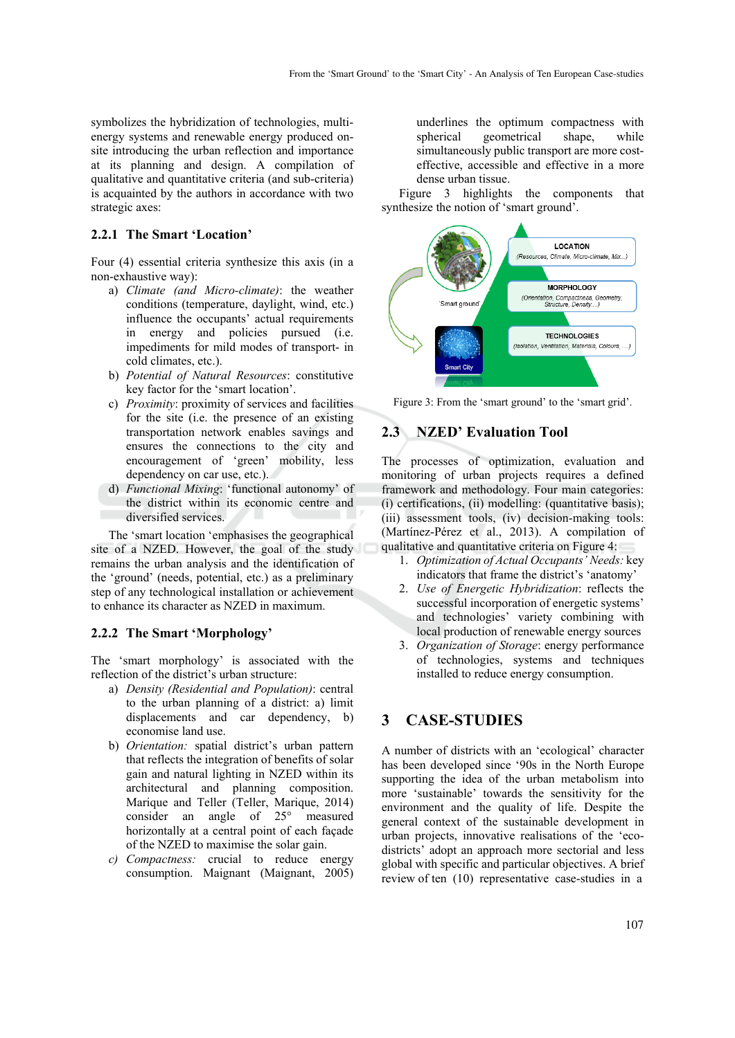symbolizes the hybridization of technologies, multienergy systems and renewable energy produced onsite introducing the urban reflection and importance at its planning and design. A compilation of qualitative and quantitative criteria (and sub-criteria) is acquainted by the authors in accordance with two strategic axes:

#### **2.2.1 The Smart 'Location'**

Four (4) essential criteria synthesize this axis (in a non-exhaustive way):

- a) *Climate (and Micro-climate)*: the weather conditions (temperature, daylight, wind, etc.) influence the occupants' actual requirements in energy and policies pursued (i.e. impediments for mild modes of transport- in cold climates, etc.).
- b) *Potential of Natural Resources*: constitutive key factor for the 'smart location'.
- c) *Proximity*: proximity of services and facilities for the site (i.e. the presence of an existing transportation network enables savings and ensures the connections to the city and encouragement of 'green' mobility, less dependency on car use, etc.).
- d) *Functional Mixing*: 'functional autonomy' of the district within its economic centre and diversified services.

The 'smart location 'emphasises the geographical site of a NZED. However, the goal of the study remains the urban analysis and the identification of the 'ground' (needs, potential, etc.) as a preliminary step of any technological installation or achievement to enhance its character as NZED in maximum.

#### **2.2.2 The Smart 'Morphology'**

The 'smart morphology' is associated with the reflection of the district's urban structure:

- a) *Density (Residential and Population)*: central to the urban planning of a district: a) limit displacements and car dependency, b) economise land use.
- b) *Orientation:* spatial district's urban pattern that reflects the integration of benefits of solar gain and natural lighting in NZED within its architectural and planning composition. Marique and Teller (Teller, Marique, 2014) consider an angle of 25° measured horizontally at a central point of each façade of the NZED to maximise the solar gain.
- *c) Compactness:* crucial to reduce energy consumption. Maignant (Maignant, 2005)

underlines the optimum compactness with spherical geometrical shape, while simultaneously public transport are more costeffective, accessible and effective in a more dense urban tissue.

Figure 3 highlights the components that synthesize the notion of 'smart ground'.



Figure 3: From the 'smart ground' to the 'smart grid'.

### **2.3 NZED' Evaluation Tool**

The processes of optimization, evaluation and monitoring of urban projects requires a defined framework and methodology. Four main categories: (i) certifications, (ii) modelling: (quantitative basis); (iii) assessment tools, (iv) decision-making tools: (Martínez-Pérez et al., 2013). A compilation of qualitative and quantitative criteria on Figure 4:

- 1. *Optimization of Actual Occupants' Needs:* key indicators that frame the district's 'anatomy'
- 2. *Use of Energetic Hybridization*: reflects the successful incorporation of energetic systems' and technologies' variety combining with local production of renewable energy sources
- 3. *Organization of Storage*: energy performance of technologies, systems and techniques installed to reduce energy consumption.

## **3 CASE-STUDIES**

A number of districts with an 'ecological' character has been developed since '90s in the North Europe supporting the idea of the urban metabolism into more 'sustainable' towards the sensitivity for the environment and the quality of life. Despite the general context of the sustainable development in urban projects, innovative realisations of the 'ecodistricts' adopt an approach more sectorial and less global with specific and particular objectives. A brief review of ten (10) representative case-studies in a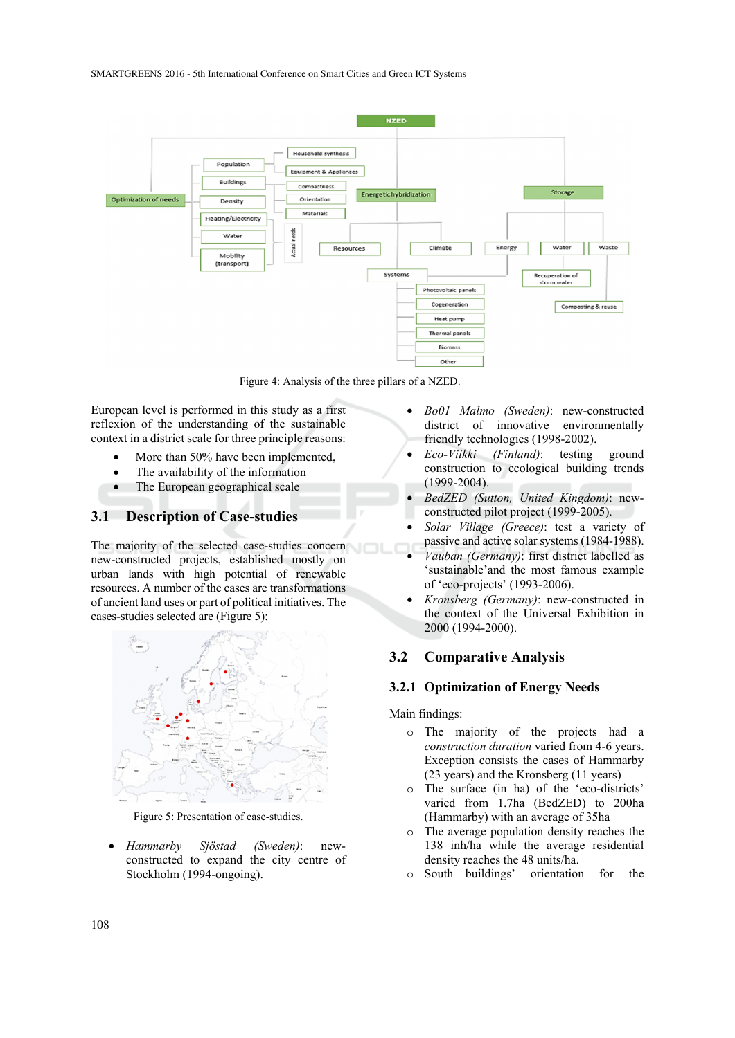

Figure 4: Analysis of the three pillars of a NZED.

European level is performed in this study as a first reflexion of the understanding of the sustainable context in a district scale for three principle reasons:

- More than 50% have been implemented,
- The availability of the information
- The European geographical scale

## **3.1 Description of Case-studies**

The majority of the selected case-studies concern new-constructed projects, established mostly on urban lands with high potential of renewable resources. A number of the cases are transformations of ancient land uses or part of political initiatives. The cases-studies selected are (Figure 5):



Figure 5: Presentation of case-studies.

• *Hammarby Sjöstad (Sweden)*: newconstructed to expand the city centre of Stockholm (1994-ongoing).

- *Bo01 Malmo (Sweden)*: new-constructed district of innovative environmentally friendly technologies (1998-2002).
- *Eco-Viikki (Finland)*: testing ground construction to ecological building trends (1999-2004).
- *BedZED (Sutton, United Kingdom)*: newconstructed pilot project (1999-2005).
- *Solar Village (Greece)*: test a variety of passive and active solar systems (1984-1988).
- *Vauban (Germany)*: first district labelled as 'sustainable'and the most famous example of 'eco-projects' (1993-2006).
- *Kronsberg (Germany)*: new-constructed in the context of the Universal Exhibition in 2000 (1994-2000).

# **3.2 Comparative Analysis**

## **3.2.1 Optimization of Energy Needs**

Main findings:

- o The majority of the projects had a *construction duration* varied from 4-6 years. Exception consists the cases of Hammarby (23 years) and the Kronsberg (11 years)
- o The surface (in ha) of the 'eco-districts' varied from 1.7ha (BedZED) to 200ha (Hammarby) with an average of 35ha
- o The average population density reaches the 138 inh/ha while the average residential density reaches the 48 units/ha.
- o South buildings' orientation for the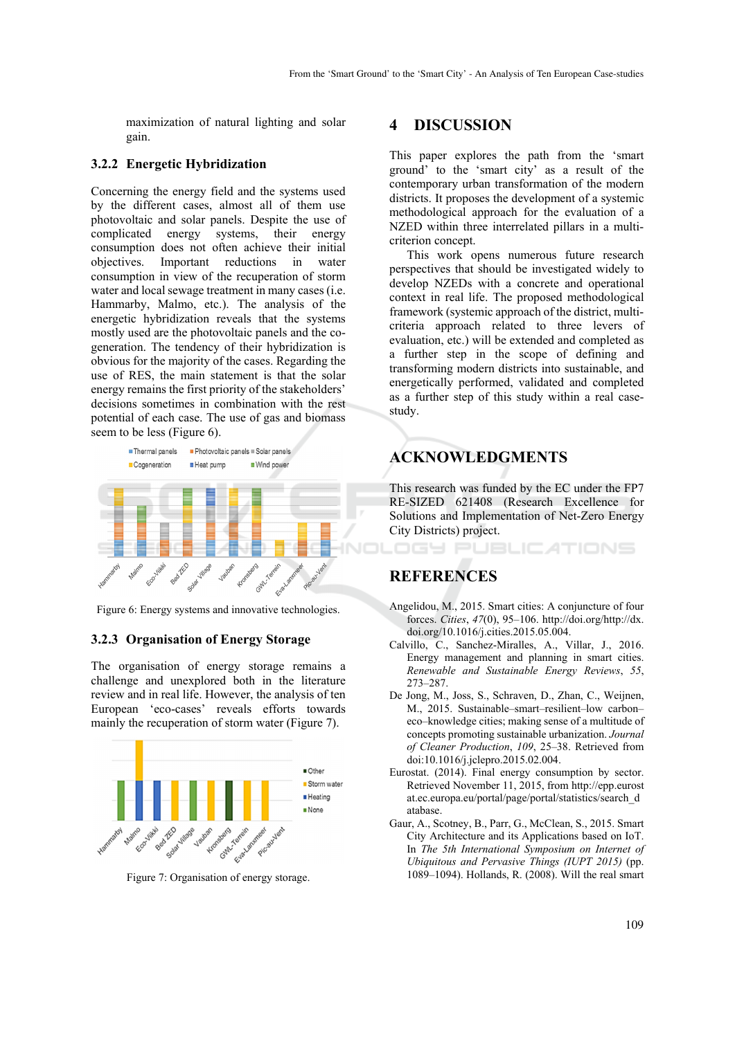maximization of natural lighting and solar gain.

#### **3.2.2 Energetic Hybridization**

Concerning the energy field and the systems used by the different cases, almost all of them use photovoltaic and solar panels. Despite the use of complicated energy systems, their energy consumption does not often achieve their initial objectives. Important reductions in water consumption in view of the recuperation of storm water and local sewage treatment in many cases (i.e. Hammarby, Malmo, etc.). The analysis of the energetic hybridization reveals that the systems mostly used are the photovoltaic panels and the cogeneration. The tendency of their hybridization is obvious for the majority of the cases. Regarding the use of RES, the main statement is that the solar energy remains the first priority of the stakeholders' decisions sometimes in combination with the rest potential of each case. The use of gas and biomass seem to be less (Figure 6).



Figure 6: Energy systems and innovative technologies.

#### **3.2.3 Organisation of Energy Storage**

The organisation of energy storage remains a challenge and unexplored both in the literature review and in real life. However, the analysis of ten European 'eco-cases' reveals efforts towards mainly the recuperation of storm water (Figure 7).



Figure 7: Organisation of energy storage.

## **4 DISCUSSION**

This paper explores the path from the 'smart ground' to the 'smart city' as a result of the contemporary urban transformation of the modern districts. It proposes the development of a systemic methodological approach for the evaluation of a NZED within three interrelated pillars in a multicriterion concept.

This work opens numerous future research perspectives that should be investigated widely to develop NZEDs with a concrete and operational context in real life. The proposed methodological framework (systemic approach of the district, multicriteria approach related to three levers of evaluation, etc.) will be extended and completed as a further step in the scope of defining and transforming modern districts into sustainable, and energetically performed, validated and completed as a further step of this study within a real casestudy.

## **ACKNOWLEDGMENTS**

This research was funded by the EC under the FP7 RE-SIZED 621408 (Research Excellence for Solutions and Implementation of Net-Zero Energy City Districts) project.

**JBLICATIONS** 

## **REFERENCES**

- Angelidou, M., 2015. Smart cities: A conjuncture of four forces. *Cities*, *47*(0), 95–106. http://doi.org/http://dx. doi.org/10.1016/j.cities.2015.05.004.
- Calvillo, C., Sanchez-Miralles, A., Villar, J., 2016. Energy management and planning in smart cities. *Renewable and Sustainable Energy Reviews*, *55*, 273–287.
- De Jong, M., Joss, S., Schraven, D., Zhan, C., Weijnen, M., 2015. Sustainable–smart–resilient–low carbon– eco–knowledge cities; making sense of a multitude of concepts promoting sustainable urbanization. *Journal of Cleaner Production*, *109*, 25–38. Retrieved from doi:10.1016/j.jclepro.2015.02.004.
- Eurostat. (2014). Final energy consumption by sector. Retrieved November 11, 2015, from http://epp.eurost at.ec.europa.eu/portal/page/portal/statistics/search\_d atabase.
- Gaur, A., Scotney, B., Parr, G., McClean, S., 2015. Smart City Architecture and its Applications based on IoT. In *The 5th International Symposium on Internet of Ubiquitous and Pervasive Things (IUPT 2015)* (pp. 1089–1094). Hollands, R. (2008). Will the real smart